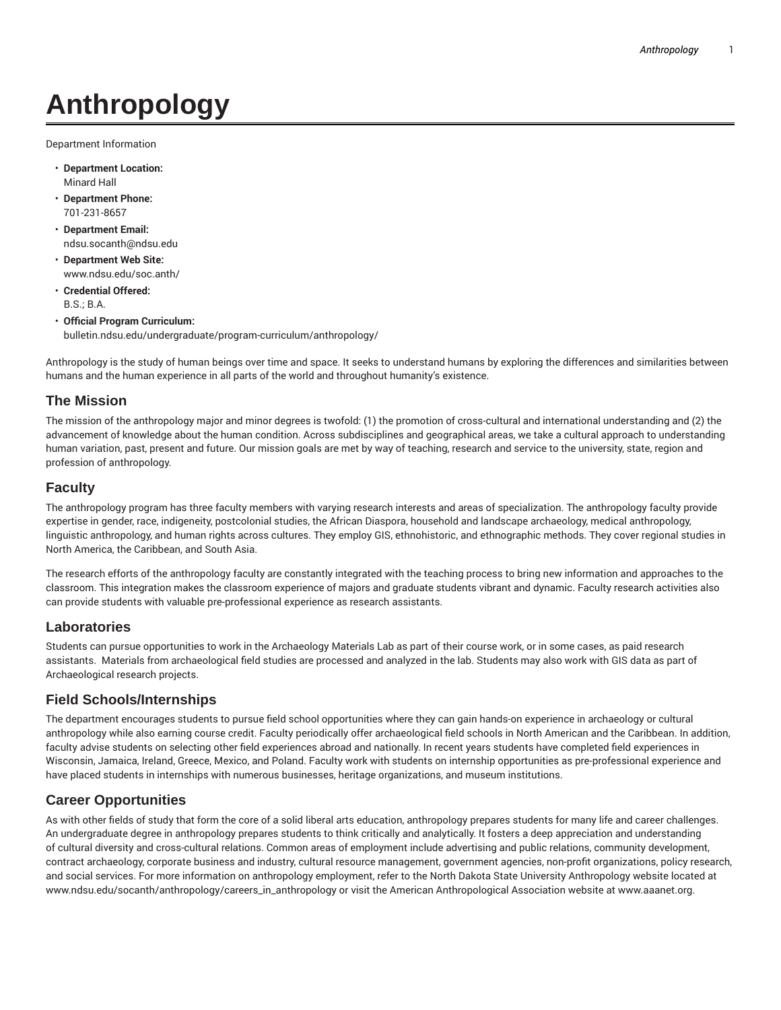# **Anthropology**

Department Information

- **Department Location:** Minard Hall
- **Department Phone:** 701-231-8657
- **Department Email:** ndsu.socanth@ndsu.edu
- **Department Web Site:** www.ndsu.edu/soc.anth/
- **Credential Offered:** B.S.; B.A.
- **Official Program Curriculum:** bulletin.ndsu.edu/undergraduate/program-curriculum/anthropology/

Anthropology is the study of human beings over time and space. It seeks to understand humans by exploring the differences and similarities between humans and the human experience in all parts of the world and throughout humanity's existence.

#### **The Mission**

The mission of the anthropology major and minor degrees is twofold: (1) the promotion of cross-cultural and international understanding and (2) the advancement of knowledge about the human condition. Across subdisciplines and geographical areas, we take a cultural approach to understanding human variation, past, present and future. Our mission goals are met by way of teaching, research and service to the university, state, region and profession of anthropology.

## **Faculty**

The anthropology program has three faculty members with varying research interests and areas of specialization. The anthropology faculty provide expertise in gender, race, indigeneity, postcolonial studies, the African Diaspora, household and landscape archaeology, medical anthropology, linguistic anthropology, and human rights across cultures. They employ GIS, ethnohistoric, and ethnographic methods. They cover regional studies in North America, the Caribbean, and South Asia.

The research efforts of the anthropology faculty are constantly integrated with the teaching process to bring new information and approaches to the classroom. This integration makes the classroom experience of majors and graduate students vibrant and dynamic. Faculty research activities also can provide students with valuable pre-professional experience as research assistants.

#### **Laboratories**

Students can pursue opportunities to work in the Archaeology Materials Lab as part of their course work, or in some cases, as paid research assistants. Materials from archaeological field studies are processed and analyzed in the lab. Students may also work with GIS data as part of Archaeological research projects.

#### **Field Schools/Internships**

The department encourages students to pursue field school opportunities where they can gain hands-on experience in archaeology or cultural anthropology while also earning course credit. Faculty periodically offer archaeological field schools in North American and the Caribbean. In addition, faculty advise students on selecting other field experiences abroad and nationally. In recent years students have completed field experiences in Wisconsin, Jamaica, Ireland, Greece, Mexico, and Poland. Faculty work with students on internship opportunities as pre-professional experience and have placed students in internships with numerous businesses, heritage organizations, and museum institutions.

# **Career Opportunities**

As with other fields of study that form the core of a solid liberal arts education, anthropology prepares students for many life and career challenges. An undergraduate degree in anthropology prepares students to think critically and analytically. It fosters a deep appreciation and understanding of cultural diversity and cross-cultural relations. Common areas of employment include advertising and public relations, community development, contract archaeology, corporate business and industry, cultural resource management, government agencies, non-profit organizations, policy research, and social services. For more information on anthropology employment, refer to the North Dakota State University Anthropology website located at www.ndsu.edu/socanth/anthropology/careers\_in\_anthropology or visit the American Anthropological Association website at www.aaanet.org.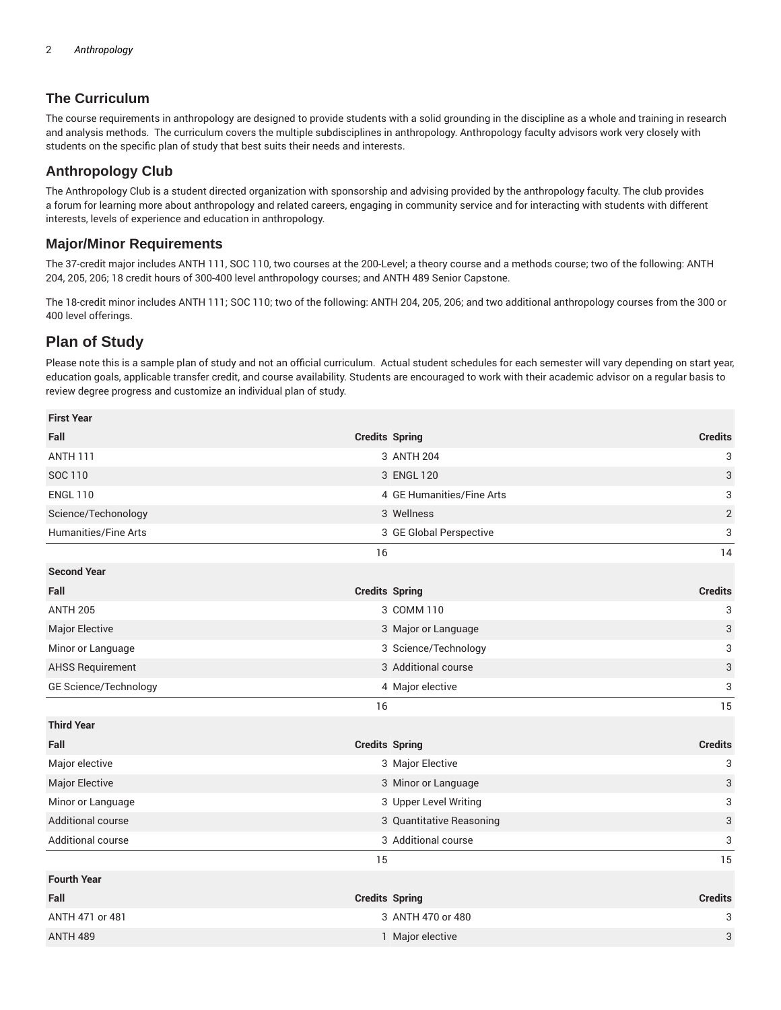# **The Curriculum**

The course requirements in anthropology are designed to provide students with a solid grounding in the discipline as a whole and training in research and analysis methods. The curriculum covers the multiple subdisciplines in anthropology. Anthropology faculty advisors work very closely with students on the specific plan of study that best suits their needs and interests.

# **Anthropology Club**

The Anthropology Club is a student directed organization with sponsorship and advising provided by the anthropology faculty. The club provides a forum for learning more about anthropology and related careers, engaging in community service and for interacting with students with different interests, levels of experience and education in anthropology.

### **Major/Minor Requirements**

The 37-credit major includes ANTH 111, SOC 110, two courses at the 200-Level; a theory course and a methods course; two of the following: ANTH 204, 205, 206; 18 credit hours of 300-400 level anthropology courses; and ANTH 489 Senior Capstone.

The 18-credit minor includes ANTH 111; SOC 110; two of the following: ANTH 204, 205, 206; and two additional anthropology courses from the 300 or 400 level offerings.

# **Plan of Study**

Please note this is a sample plan of study and not an official curriculum. Actual student schedules for each semester will vary depending on start year, education goals, applicable transfer credit, and course availability. Students are encouraged to work with their academic advisor on a regular basis to review degree progress and customize an individual plan of study.

| <b>First Year</b>           |                       |                           |                           |
|-----------------------------|-----------------------|---------------------------|---------------------------|
| Fall                        | <b>Credits Spring</b> |                           | <b>Credits</b>            |
| <b>ANTH 111</b>             |                       | 3 ANTH 204                | 3                         |
| SOC 110                     |                       | 3 ENGL 120                | 3                         |
| <b>ENGL 110</b>             |                       | 4 GE Humanities/Fine Arts | 3                         |
| Science/Techonology         |                       | 3 Wellness                | $\sqrt{2}$                |
| <b>Humanities/Fine Arts</b> |                       | 3 GE Global Perspective   | 3                         |
|                             | 16                    |                           | 14                        |
| <b>Second Year</b>          |                       |                           |                           |
| Fall                        | <b>Credits Spring</b> |                           | <b>Credits</b>            |
| <b>ANTH 205</b>             |                       | 3 COMM 110                | 3                         |
| Major Elective              |                       | 3 Major or Language       | $\ensuremath{\mathsf{3}}$ |
| Minor or Language           |                       | 3 Science/Technology      | 3                         |
| <b>AHSS Requirement</b>     |                       | 3 Additional course       | $\ensuremath{\mathsf{3}}$ |
| GE Science/Technology       |                       | 4 Major elective          | 3                         |
|                             | 16                    |                           | 15                        |
| <b>Third Year</b>           |                       |                           |                           |
| Fall                        | <b>Credits Spring</b> |                           | <b>Credits</b>            |
| Major elective              |                       | 3 Major Elective          | 3                         |
| Major Elective              |                       | 3 Minor or Language       | 3                         |
| Minor or Language           |                       | 3 Upper Level Writing     | 3                         |
| Additional course           |                       | 3 Quantitative Reasoning  | $\ensuremath{\mathsf{3}}$ |
| Additional course           |                       | 3 Additional course       | 3                         |
|                             | 15                    |                           | 15                        |
| <b>Fourth Year</b>          |                       |                           |                           |
| Fall                        | <b>Credits Spring</b> |                           | <b>Credits</b>            |
| ANTH 471 or 481             |                       | 3 ANTH 470 or 480         | 3                         |
| <b>ANTH 489</b>             |                       | 1 Major elective          | 3                         |